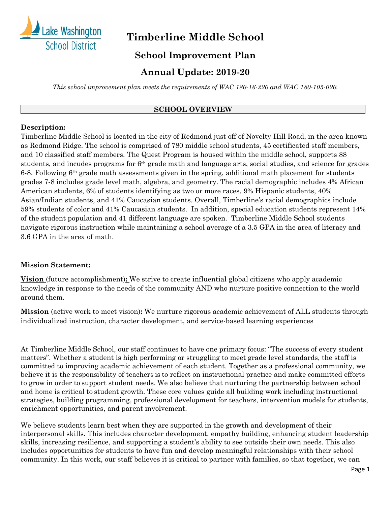

# **Timberline Middle School**

# **School Improvement Plan**

# **Annual Update: 2019-20**

*This school improvement plan meets the requirements of WAC 180-16-220 and WAC 180-105-020.*

#### **SCHOOL OVERVIEW**

#### **Description:**

Timberline Middle School is located in the city of Redmond just off of Novelty Hill Road, in the area known as Redmond Ridge. The school is comprised of 780 middle school students, 45 certificated staff members, and 10 classified staff members. The Quest Program is housed within the middle school, supports 88 students, and incudes programs for 6th grade math and language arts, social studies, and science for grades 6-8. Following  $6<sup>th</sup>$  grade math assessments given in the spring, additional math placement for students grades 7-8 includes grade level math, algebra, and geometry. The racial demographic includes 4% African American students, 6% of students identifying as two or more races, 9% Hispanic students, 40% Asian/Indian students, and 41% Caucasian students. Overall, Timberline's racial demographics include 59% students of color and 41% Caucasian students. In addition, special education students represent 14% of the student population and 41 different language are spoken. Timberline Middle School students navigate rigorous instruction while maintaining a school average of a 3.5 GPA in the area of literacy and 3.6 GPA in the area of math.

#### **Mission Statement:**

**Vision** (future accomplishment)**:** We strive to create influential global citizens who apply academic knowledge in response to the needs of the community AND who nurture positive connection to the world around them.

**Mission** (active work to meet vision)**:** We nurture rigorous academic achievement of ALL students through individualized instruction, character development, and service-based learning experiences

At Timberline Middle School, our staff continues to have one primary focus: "The success of every student matters". Whether a student is high performing or struggling to meet grade level standards, the staff is committed to improving academic achievement of each student. Together as a professional community, we believe it is the responsibility of teachers is to reflect on instructional practice and make committed efforts to grow in order to support student needs. We also believe that nurturing the partnership between school and home is critical to student growth. These core values guide all building work including instructional strategies, building programming, professional development for teachers, intervention models for students, enrichment opportunities, and parent involvement.   

We believe students learn best when they are supported in the growth and development of their interpersonal skills. This includes character development, empathy building, enhancing student leadership skills, increasing resilience, and supporting a student's ability to see outside their own needs. This also includes opportunities for students to have fun and develop meaningful relationships with their school community. In this work, our staff believes it is critical to partner with families, so that together, we can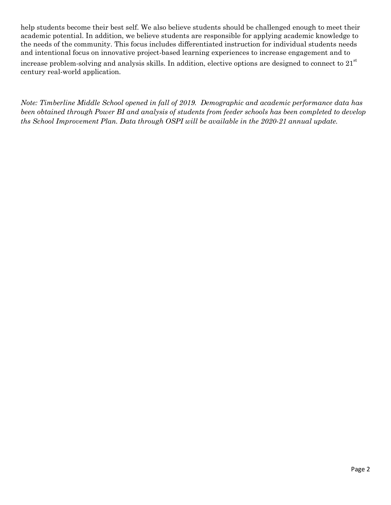help students become their best self. We also believe students should be challenged enough to meet their academic potential. In addition, we believe students are responsible for applying academic knowledge to the needs of the community. This focus includes differentiated instruction for individual students needs and intentional focus on innovative project-based learning experiences to increase engagement and to

increase problem-solving and analysis skills. In addition, elective options are designed to connect to  $21<sup>st</sup>$ century real-world application.

*Note: Timberline Middle School opened in fall of 2019. Demographic and academic performance data has been obtained through Power BI and analysis of students from feeder schools has been completed to develop ths School Improvement Plan. Data through OSPI will be available in the 2020-21 annual update.*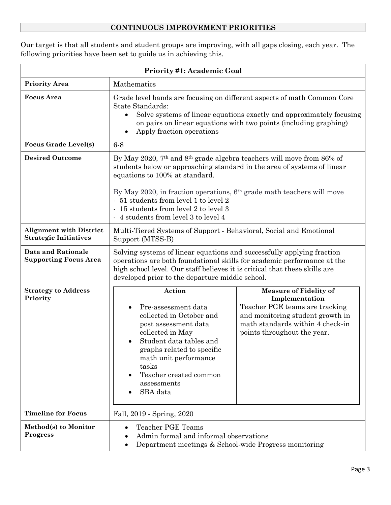## **CONTINUOUS IMPROVEMENT PRIORITIES**

Our target is that all students and student groups are improving, with all gaps closing, each year. The following priorities have been set to guide us in achieving this.

| <b>Priority #1: Academic Goal</b>                              |                                                                                                                                                                                                                                                                                                                                                                                                                  |                                                                                                                                       |
|----------------------------------------------------------------|------------------------------------------------------------------------------------------------------------------------------------------------------------------------------------------------------------------------------------------------------------------------------------------------------------------------------------------------------------------------------------------------------------------|---------------------------------------------------------------------------------------------------------------------------------------|
| <b>Priority Area</b>                                           | Mathematics                                                                                                                                                                                                                                                                                                                                                                                                      |                                                                                                                                       |
| <b>Focus</b> Area                                              | Grade level bands are focusing on different aspects of math Common Core<br>State Standards:<br>Solve systems of linear equations exactly and approximately focusing<br>on pairs on linear equations with two points (including graphing)<br>Apply fraction operations                                                                                                                                            |                                                                                                                                       |
| <b>Focus Grade Level(s)</b>                                    | $6-8$                                                                                                                                                                                                                                                                                                                                                                                                            |                                                                                                                                       |
| <b>Desired Outcome</b>                                         | By May 2020, 7 <sup>th</sup> and 8 <sup>th</sup> grade algebra teachers will move from 86% of<br>students below or approaching standard in the area of systems of linear<br>equations to 100% at standard.<br>By May 2020, in fraction operations, $6th$ grade math teachers will move<br>- 51 students from level 1 to level 2<br>- 15 students from level 2 to level 3<br>- 4 students from level 3 to level 4 |                                                                                                                                       |
| <b>Alignment with District</b><br><b>Strategic Initiatives</b> | Multi-Tiered Systems of Support - Behavioral, Social and Emotional<br>Support (MTSS-B)                                                                                                                                                                                                                                                                                                                           |                                                                                                                                       |
| <b>Data and Rationale</b><br><b>Supporting Focus Area</b>      | Solving systems of linear equations and successfully applying fraction<br>operations are both foundational skills for academic performance at the<br>high school level. Our staff believes it is critical that these skills are<br>developed prior to the departure middle school.                                                                                                                               |                                                                                                                                       |
| <b>Strategy to Address</b><br>Priority                         | Action                                                                                                                                                                                                                                                                                                                                                                                                           | <b>Measure of Fidelity of</b><br>Implementation                                                                                       |
|                                                                | Pre-assessment data<br>collected in October and<br>post assessment data<br>collected in May<br>Student data tables and<br>graphs related to specific<br>math unit performance<br>tasks<br>Teacher created common<br>assessments<br>SBA data                                                                                                                                                                      | Teacher PGE teams are tracking<br>and monitoring student growth in<br>math standards within 4 check-in<br>points throughout the year. |
| <b>Timeline for Focus</b>                                      | Fall, 2019 - Spring, 2020                                                                                                                                                                                                                                                                                                                                                                                        |                                                                                                                                       |
| Method(s) to Monitor<br><b>Progress</b>                        | <b>Teacher PGE Teams</b><br>$\bullet$<br>Admin formal and informal observations<br>Department meetings & School-wide Progress monitoring                                                                                                                                                                                                                                                                         |                                                                                                                                       |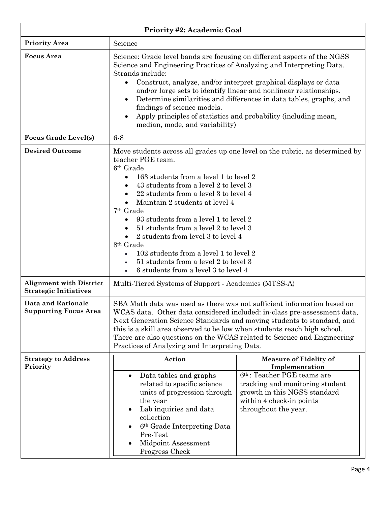| <b>Priority #2: Academic Goal</b>                              |                                                                                                                                                                                                                                                                                                                                                                                                                                                                                                                                                                                                                         |                                                                                                                     |
|----------------------------------------------------------------|-------------------------------------------------------------------------------------------------------------------------------------------------------------------------------------------------------------------------------------------------------------------------------------------------------------------------------------------------------------------------------------------------------------------------------------------------------------------------------------------------------------------------------------------------------------------------------------------------------------------------|---------------------------------------------------------------------------------------------------------------------|
| <b>Priority Area</b>                                           | Science                                                                                                                                                                                                                                                                                                                                                                                                                                                                                                                                                                                                                 |                                                                                                                     |
| <b>Focus Area</b>                                              | Science: Grade level bands are focusing on different aspects of the NGSS<br>Science and Engineering Practices of Analyzing and Interpreting Data.<br>Strands include:<br>Construct, analyze, and/or interpret graphical displays or data<br>$\bullet$<br>and/or large sets to identify linear and nonlinear relationships.<br>Determine similarities and differences in data tables, graphs, and<br>findings of science models.<br>Apply principles of statistics and probability (including mean,<br>$\bullet$<br>median, mode, and variability)                                                                       |                                                                                                                     |
| <b>Focus Grade Level(s)</b>                                    | $6-8$                                                                                                                                                                                                                                                                                                                                                                                                                                                                                                                                                                                                                   |                                                                                                                     |
| <b>Desired Outcome</b>                                         | Move students across all grades up one level on the rubric, as determined by<br>teacher PGE team.<br>6 <sup>th</sup> Grade<br>163 students from a level 1 to level 2<br>43 students from a level 2 to level 3<br>22 students from a level 3 to level 4<br>Maintain 2 students at level 4<br>$\bullet$<br>7 <sup>th</sup> Grade<br>93 students from a level 1 to level 2<br>$\bullet$<br>51 students from a level 2 to level 3<br>2 students from level 3 to level 4<br>8 <sup>th</sup> Grade<br>102 students from a level 1 to level 2<br>51 students from a level 2 to level 3<br>6 students from a level 3 to level 4 |                                                                                                                     |
| <b>Alignment with District</b><br><b>Strategic Initiatives</b> | Multi-Tiered Systems of Support - Academics (MTSS-A)                                                                                                                                                                                                                                                                                                                                                                                                                                                                                                                                                                    |                                                                                                                     |
| <b>Data and Rationale</b><br><b>Supporting Focus Area</b>      | SBA Math data was used as there was not sufficient information based on<br>WCAS data. Other data considered included: in-class pre-assessment data,<br>Next Generation Science Standards and moving students to standard, and<br>this is a skill area observed to be low when students reach high school.<br>There are also questions on the WCAS related to Science and Engineering<br>Practices of Analyzing and Interpreting Data.                                                                                                                                                                                   |                                                                                                                     |
| <b>Strategy to Address</b><br>Priority                         | Action<br>Data tables and graphs                                                                                                                                                                                                                                                                                                                                                                                                                                                                                                                                                                                        | <b>Measure of Fidelity of</b><br>Implementation<br>6 <sup>th</sup> : Teacher PGE teams are                          |
|                                                                | related to specific science<br>units of progression through<br>the year<br>Lab inquiries and data<br>collection<br>6 <sup>th</sup> Grade Interpreting Data<br>Pre-Test<br>Midpoint Assessment<br>Progress Check                                                                                                                                                                                                                                                                                                                                                                                                         | tracking and monitoring student<br>growth in this NGSS standard<br>within 4 check-in points<br>throughout the year. |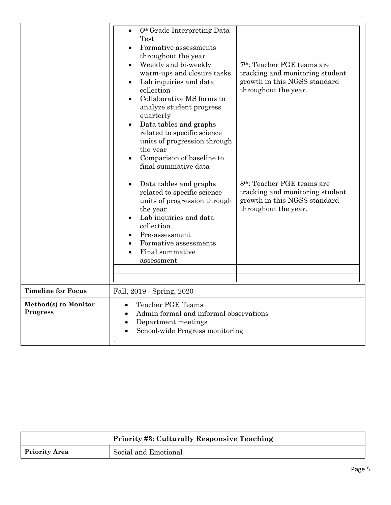|                                  | 6 <sup>th</sup> Grade Interpreting Data<br>Test<br>Formative assessments<br>throughout the year<br>Weekly and bi-weekly<br>$\bullet$<br>warm-ups and closure tasks<br>Lab inquiries and data<br>collection<br>Collaborative MS forms to<br>analyze student progress<br>quarterly<br>Data tables and graphs<br>related to specific science<br>units of progression through<br>the year<br>Comparison of baseline to<br>final summative data | 7 <sup>th</sup> : Teacher PGE teams are<br>tracking and monitoring student<br>growth in this NGSS standard<br>throughout the year. |
|----------------------------------|--------------------------------------------------------------------------------------------------------------------------------------------------------------------------------------------------------------------------------------------------------------------------------------------------------------------------------------------------------------------------------------------------------------------------------------------|------------------------------------------------------------------------------------------------------------------------------------|
|                                  | Data tables and graphs<br>$\bullet$<br>related to specific science<br>units of progression through<br>the year<br>Lab inquiries and data<br>collection<br>Pre-assessment<br>Formative assessments<br>Final summative<br>assessment                                                                                                                                                                                                         | 8 <sup>th</sup> : Teacher PGE teams are<br>tracking and monitoring student<br>growth in this NGSS standard<br>throughout the year. |
| <b>Timeline for Focus</b>        | Fall, 2019 - Spring, 2020                                                                                                                                                                                                                                                                                                                                                                                                                  |                                                                                                                                    |
| Method(s) to Monitor<br>Progress | <b>Teacher PGE Teams</b><br>Admin formal and informal observations<br>Department meetings<br>School-wide Progress monitoring                                                                                                                                                                                                                                                                                                               |                                                                                                                                    |

|                      | <b>Priority #3: Culturally Responsive Teaching</b> |  |
|----------------------|----------------------------------------------------|--|
| <b>Priority Area</b> | Social and Emotional                               |  |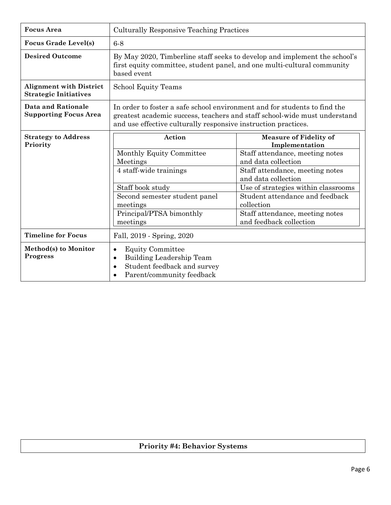| <b>Focus</b> Area                                              | <b>Culturally Responsive Teaching Practices</b>                                                                                                                                                                          |                                                                                                                                                                                                                                                                        |
|----------------------------------------------------------------|--------------------------------------------------------------------------------------------------------------------------------------------------------------------------------------------------------------------------|------------------------------------------------------------------------------------------------------------------------------------------------------------------------------------------------------------------------------------------------------------------------|
| <b>Focus Grade Level(s)</b>                                    | $6-8$                                                                                                                                                                                                                    |                                                                                                                                                                                                                                                                        |
| <b>Desired Outcome</b>                                         | By May 2020, Timberline staff seeks to develop and implement the school's<br>first equity committee, student panel, and one multi-cultural community<br>based event                                                      |                                                                                                                                                                                                                                                                        |
| <b>Alignment with District</b><br><b>Strategic Initiatives</b> | School Equity Teams                                                                                                                                                                                                      |                                                                                                                                                                                                                                                                        |
| <b>Data and Rationale</b><br><b>Supporting Focus Area</b>      | In order to foster a safe school environment and for students to find the<br>greatest academic success, teachers and staff school-wide must understand<br>and use effective culturally responsive instruction practices. |                                                                                                                                                                                                                                                                        |
| <b>Strategy to Address</b><br>Priority                         | Action                                                                                                                                                                                                                   | <b>Measure of Fidelity of</b><br>Implementation                                                                                                                                                                                                                        |
|                                                                | Monthly Equity Committee<br>Meetings<br>4 staff-wide trainings<br>Staff book study<br>Second semester student panel<br>meetings<br>Principal/PTSA bimonthly<br>meetings                                                  | Staff attendance, meeting notes<br>and data collection<br>Staff attendance, meeting notes<br>and data collection<br>Use of strategies within classrooms<br>Student attendance and feedback<br>collection<br>Staff attendance, meeting notes<br>and feedback collection |
| <b>Timeline for Focus</b>                                      | Fall, 2019 - Spring, 2020                                                                                                                                                                                                |                                                                                                                                                                                                                                                                        |
| Method(s) to Monitor<br><b>Progress</b>                        | <b>Equity Committee</b><br>$\bullet$<br>Building Leadership Team<br>$\bullet$<br>Student feedback and survey<br>$\bullet$<br>Parent/community feedback                                                                   |                                                                                                                                                                                                                                                                        |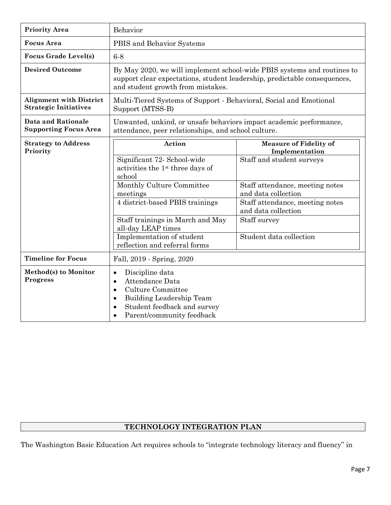| <b>Priority Area</b>                                           | Behavior                                                                                                                                                                                                                       |                                                        |
|----------------------------------------------------------------|--------------------------------------------------------------------------------------------------------------------------------------------------------------------------------------------------------------------------------|--------------------------------------------------------|
| <b>Focus</b> Area                                              | PBIS and Behavior Systems                                                                                                                                                                                                      |                                                        |
| <b>Focus Grade Level(s)</b>                                    | $6 - 8$                                                                                                                                                                                                                        |                                                        |
| <b>Desired Outcome</b>                                         | By May 2020, we will implement school-wide PBIS systems and routines to<br>support clear expectations, student leadership, predictable consequences,<br>and student growth from mistakes.                                      |                                                        |
| <b>Alignment with District</b><br><b>Strategic Initiatives</b> | Multi-Tiered Systems of Support - Behavioral, Social and Emotional<br>Support (MTSS-B)                                                                                                                                         |                                                        |
| <b>Data and Rationale</b><br><b>Supporting Focus Area</b>      | Unwanted, unkind, or unsafe behaviors impact academic performance,<br>attendance, peer relationships, and school culture.                                                                                                      |                                                        |
| <b>Strategy to Address</b><br>Priority                         | Action                                                                                                                                                                                                                         | <b>Measure of Fidelity of</b><br>Implementation        |
|                                                                | Significant 72- School-wide<br>activities the 1 <sup>st</sup> three days of<br>school                                                                                                                                          | Staff and student surveys                              |
|                                                                | Monthly Culture Committee<br>meetings                                                                                                                                                                                          | Staff attendance, meeting notes<br>and data collection |
|                                                                | 4 district-based PBIS trainings                                                                                                                                                                                                | Staff attendance, meeting notes<br>and data collection |
|                                                                | Staff trainings in March and May<br>all-day LEAP times                                                                                                                                                                         | Staff survey                                           |
|                                                                | Implementation of student<br>reflection and referral forms                                                                                                                                                                     | Student data collection                                |
| <b>Timeline for Focus</b>                                      | Fall, 2019 - Spring, 2020                                                                                                                                                                                                      |                                                        |
| Method(s) to Monitor<br><b>Progress</b>                        | Discipline data<br>$\bullet$<br>Attendance Data<br>$\bullet$<br><b>Culture Committee</b><br>$\bullet$<br><b>Building Leadership Team</b><br>$\bullet$<br>Student feedback and survey<br>$\bullet$<br>Parent/community feedback |                                                        |

### **TECHNOLOGY INTEGRATION PLAN**

The Washington Basic Education Act requires schools to "integrate technology literacy and fluency" in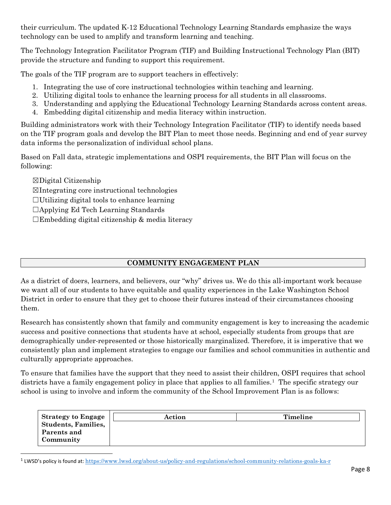their curriculum. The updated K-12 Educational Technology Learning Standards emphasize the ways technology can be used to amplify and transform learning and teaching.

The Technology Integration Facilitator Program (TIF) and Building Instructional Technology Plan (BIT) provide the structure and funding to support this requirement.

The goals of the TIF program are to support teachers in effectively:

- 1. Integrating the use of core instructional technologies within teaching and learning.
- 2. Utilizing digital tools to enhance the learning process for all students in all classrooms.
- 3. Understanding and applying the Educational Technology Learning Standards across content areas.
- 4. Embedding digital citizenship and media literacy within instruction.

Building administrators work with their Technology Integration Facilitator (TIF) to identify needs based on the TIF program goals and develop the BIT Plan to meet those needs. Beginning and end of year survey data informs the personalization of individual school plans.

Based on Fall data, strategic implementations and OSPI requirements, the BIT Plan will focus on the following:

☒Digital Citizenship

☒Integrating core instructional technologies

 $\Box$ Utilizing digital tools to enhance learning

- ☐Applying Ed Tech Learning Standards
- $\Box$ Embedding digital citizenship & media literacy

### **COMMUNITY ENGAGEMENT PLAN**

As a district of doers, learners, and believers, our "why" drives us. We do this all-important work because we want all of our students to have equitable and quality experiences in the Lake Washington School District in order to ensure that they get to choose their futures instead of their circumstances choosing them.

Research has consistently shown that family and community engagement is key to increasing the academic success and positive connections that students have at school, especially students from groups that are demographically under-represented or those historically marginalized. Therefore, it is imperative that we consistently plan and implement strategies to engage our families and school communities in authentic and culturally appropriate approaches.

To ensure that families have the support that they need to assist their children, OSPI requires that school districts have a family engagement policy in place that applies to all families.<sup>1</sup> The specific strategy our school is using to involve and inform the community of the School Improvement Plan is as follows:

| <b>Strategy to Engage</b><br><b>Students, Families,</b> | Action | Timeline |
|---------------------------------------------------------|--------|----------|
| Parents and                                             |        |          |
| Community                                               |        |          |

<span id="page-7-0"></span><sup>1</sup> LWSD's policy is found at: <https://www.lwsd.org/about-us/policy-and-regulations/school-community-relations-goals-ka-r>